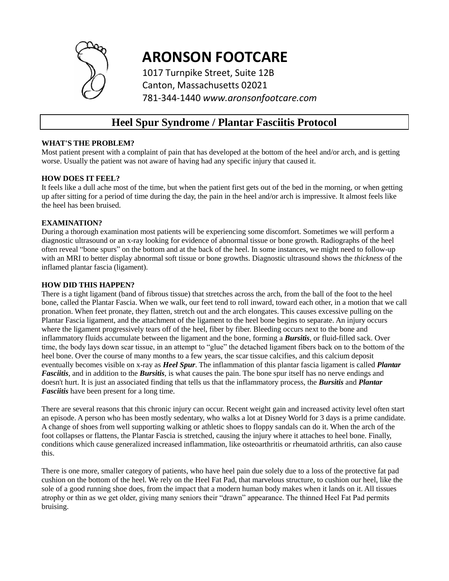

# **ARONSON FOOTCARE**

1017 Turnpike Street, Suite 12B Canton, Massachusetts 02021 781-344-1440 *www.aronsonfootcare.com*

# **Heel Spur Syndrome / Plantar Fasciitis Protocol**

#### **WHAT'S THE PROBLEM?**

Most patient present with a complaint of pain that has developed at the bottom of the heel and/or arch, and is getting worse. Usually the patient was not aware of having had any specific injury that caused it.

#### **HOW DOES IT FEEL?**

It feels like a dull ache most of the time, but when the patient first gets out of the bed in the morning, or when getting up after sitting for a period of time during the day, the pain in the heel and/or arch is impressive. It almost feels like the heel has been bruised.

#### **EXAMINATION?**

During a thorough examination most patients will be experiencing some discomfort. Sometimes we will perform a diagnostic ultrasound or an x-ray looking for evidence of abnormal tissue or bone growth. Radiographs of the heel often reveal "bone spurs" on the bottom and at the back of the heel. In some instances, we might need to follow-up with an MRI to better display abnormal soft tissue or bone growths. Diagnostic ultrasound shows the *thickness* of the inflamed plantar fascia (ligament).

#### **HOW DID THIS HAPPEN?**

There is a tight ligament (band of fibrous tissue) that stretches across the arch, from the ball of the foot to the heel bone, called the Plantar Fascia. When we walk, our feet tend to roll inward, toward each other, in a motion that we call pronation. When feet pronate, they flatten, stretch out and the arch elongates. This causes excessive pulling on the Plantar Fascia ligament, and the attachment of the ligament to the heel bone begins to separate. An injury occurs where the ligament progressively tears off of the heel, fiber by fiber. Bleeding occurs next to the bone and inflammatory fluids accumulate between the ligament and the bone, forming a *Bursitis*, or fluid-filled sack. Over time, the body lays down scar tissue, in an attempt to "glue" the detached ligament fibers back on to the bottom of the heel bone. Over the course of many months to a few years, the scar tissue calcifies, and this calcium deposit eventually becomes visible on x-ray as *Heel Spur*. The inflammation of this plantar fascia ligament is called *Plantar Fasciitis*, and in addition to the *Bursitis*, is what causes the pain. The bone spur itself has no nerve endings and doesn't hurt. It is just an associated finding that tells us that the inflammatory process, the *Bursitis* and *Plantar Fasciitis* have been present for a long time.

There are several reasons that this chronic injury can occur. Recent weight gain and increased activity level often start an episode. A person who has been mostly sedentary, who walks a lot at Disney World for 3 days is a prime candidate. A change of shoes from well supporting walking or athletic shoes to floppy sandals can do it. When the arch of the foot collapses or flattens, the Plantar Fascia is stretched, causing the injury where it attaches to heel bone. Finally, conditions which cause generalized increased inflammation, like osteoarthritis or rheumatoid arthritis, can also cause this.

There is one more, smaller category of patients, who have heel pain due solely due to a loss of the protective fat pad cushion on the bottom of the heel. We rely on the Heel Fat Pad, that marvelous structure, to cushion our heel, like the sole of a good running shoe does, from the impact that a modern human body makes when it lands on it. All tissues atrophy or thin as we get older, giving many seniors their "drawn" appearance. The thinned Heel Fat Pad permits bruising.